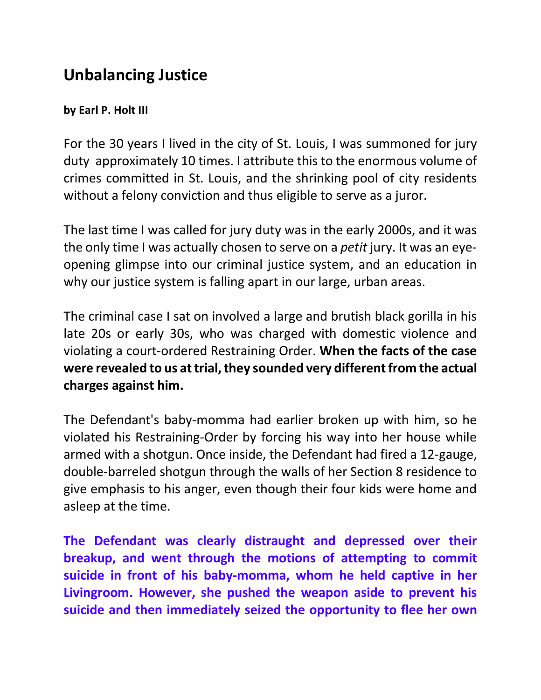## **Unbalancing Justice**

## **by Earl P. Holt III**

For the 30 years I lived in the city of St. Louis, I was summoned for jury duty approximately 10 times. I attribute this to the enormous volume of crimes committed in St. Louis, and the shrinking pool of city residents without a felony conviction and thus eligible to serve as a juror.

The last time I was called for jury duty was in the early 2000s, and it was the only time I was actually chosen to serve on a *petit* jury. It was an eyeopening glimpse into our criminal justice system, and an education in why our justice system is falling apart in our large, urban areas.

The criminal case I sat on involved a large and brutish black gorilla in his late 20s or early 30s, who was charged with domestic violence and violating a court-ordered Restraining Order. **When the facts of the case were revealed to us at trial, they sounded very different from the actual charges against him.**

The Defendant's baby-momma had earlier broken up with him, so he violated his Restraining-Order by forcing his way into her house while armed with a shotgun. Once inside, the Defendant had fired a 12-gauge, double-barreled shotgun through the walls of her Section 8 residence to give emphasis to his anger, even though their four kids were home and asleep at the time.

**The Defendant was clearly distraught and depressed over their breakup, and went through the motions of attempting to commit suicide in front of his baby-momma, whom he held captive in her Livingroom. However, she pushed the weapon aside to prevent his suicide and then immediately seized the opportunity to flee her own**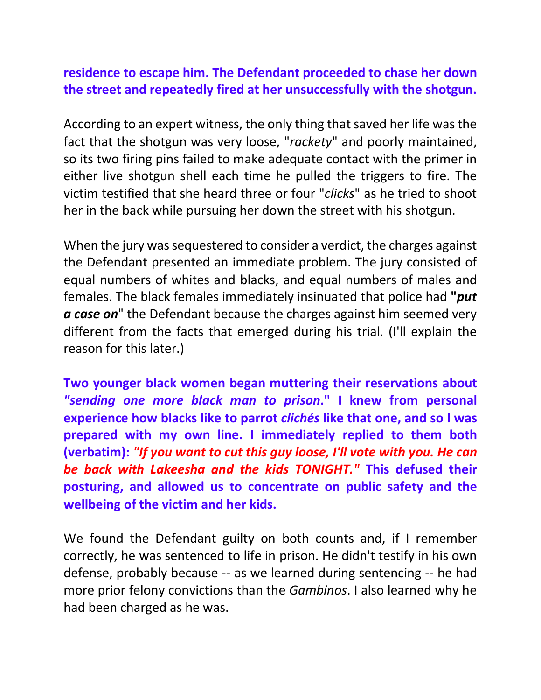## **residence to escape him. The Defendant proceeded to chase her down the street and repeatedly fired at her unsuccessfully with the shotgun.**

According to an expert witness, the only thing that saved her life was the fact that the shotgun was very loose, "*rackety*" and poorly maintained, so its two firing pins failed to make adequate contact with the primer in either live shotgun shell each time he pulled the triggers to fire. The victim testified that she heard three or four "*clicks*" as he tried to shoot her in the back while pursuing her down the street with his shotgun.

When the jury was sequestered to consider a verdict, the charges against the Defendant presented an immediate problem. The jury consisted of equal numbers of whites and blacks, and equal numbers of males and females. The black females immediately insinuated that police had **"***put a case on*" the Defendant because the charges against him seemed very different from the facts that emerged during his trial. (I'll explain the reason for this later.)

**Two younger black women began muttering their reservations about** *"sending one more black man to prison***." I knew from personal experience how blacks like to parrot** *clichés* **like that one, and so I was prepared with my own line. I immediately replied to them both (verbatim):** *"If you want to cut this guy loose, I'll vote with you. He can be back with Lakeesha and the kids TONIGHT."* **This defused their posturing, and allowed us to concentrate on public safety and the wellbeing of the victim and her kids.**

We found the Defendant guilty on both counts and, if I remember correctly, he was sentenced to life in prison. He didn't testify in his own defense, probably because -- as we learned during sentencing -- he had more prior felony convictions than the *Gambinos*. I also learned why he had been charged as he was.